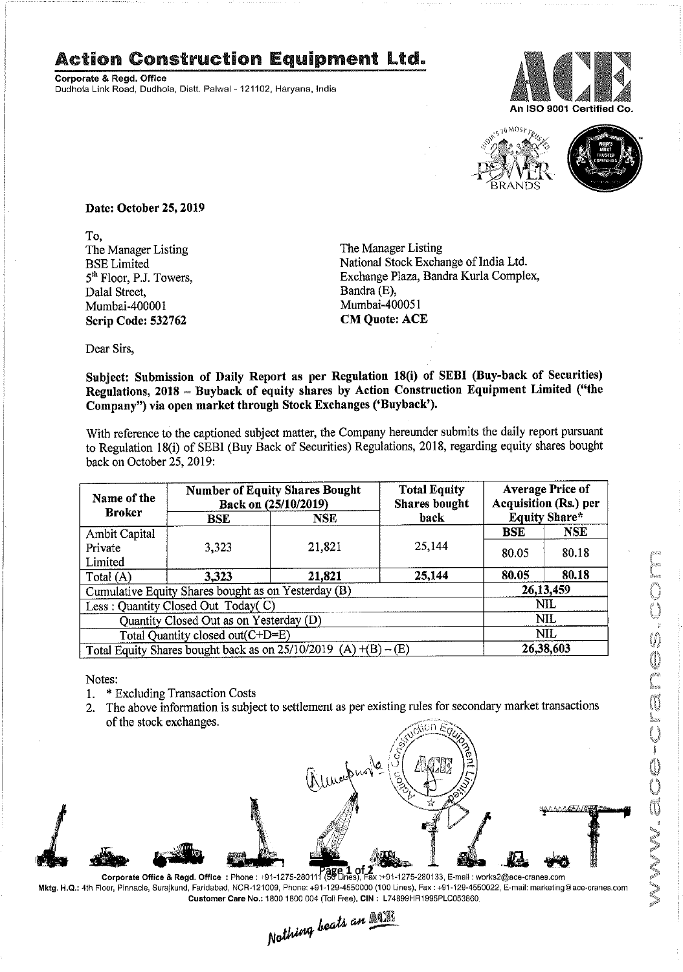## Action Construction Equipment Ltd. **Action Construction Equipment Ltd.**<br>Corporate & Regd. Office

**Corporate & Regd. Office** Dudhola Link Road, Dudhota, Distt. Palwal - 121102, Haryana, India





Date: October 25, 2019

To, The Manager Listing The Manager Listing Dalal Street, Bandra (E), Mumbai-400001 Mumbai-400051 Scrip Code: 532762 CM Quote: ACE

BSE Limited National Stock Exchange of India Ltd. 5<sup>th</sup> Floor, P.J. Towers, Exchange Plaza, Bandra Kurla Complex,

**Example 18 and Subject matter is the caption of Daily Report as per Regulations**, 2018, regarding equity shares buying the Company hereunder submission of Daily Report as per Regulations, 2018 - Buying Report pursuant of the Read Durhola, Datt Palwal - 121102, Haryana, India<br>
The Manager Listing<br>
The Manager Listing<br>
The Manager Listing<br>
The Manager Listing<br>
The Manager Listing<br>
Datt is Corollated The Security Report as Exchange Plaza, Ban back on October 25, 2019:

| Name of the                                                                   | <b>Number of Equity Shares Bought</b><br>Back on (25/10/2019) |                                                                                                                        | <b>Total Equity</b><br><b>Shares</b> bought | <b>Average Price of</b><br><b>Acquisition (Rs.) per</b> |                      |  |
|-------------------------------------------------------------------------------|---------------------------------------------------------------|------------------------------------------------------------------------------------------------------------------------|---------------------------------------------|---------------------------------------------------------|----------------------|--|
| <b>Broker</b>                                                                 | <b>BSE</b>                                                    | <b>NSE</b>                                                                                                             | back                                        |                                                         | <b>Equity Share*</b> |  |
| Ambit Capital<br>Private                                                      | 3,323                                                         | 21,821                                                                                                                 | 25,144                                      | <b>BSE</b><br>80.05                                     | <b>NSE</b><br>80.18  |  |
| Limited                                                                       |                                                               |                                                                                                                        |                                             |                                                         |                      |  |
| Total (A)                                                                     | 3,323                                                         | 21,821                                                                                                                 | 25,144                                      | 80.05                                                   | 80.18                |  |
| Cumulative Equity Shares bought as on Yesterday (B)                           |                                                               |                                                                                                                        |                                             | 26,13,459<br>NIL                                        |                      |  |
| Less: Quantity Closed Out Today(C)<br>Quantity Closed Out as on Yesterday (D) |                                                               |                                                                                                                        |                                             |                                                         | <b>NIL</b>           |  |
| Total Quantity closed out(C+D=E)                                              |                                                               |                                                                                                                        |                                             |                                                         | <b>NIL</b>           |  |
| Total Equity Shares bought back as on $25/10/2019$ (A) $+(B) - (E)$           |                                                               |                                                                                                                        |                                             | 26,38,603                                               |                      |  |
| Notes:<br>1.<br>2.<br>of the stock exchanges.                                 | * Excluding Transaction Costs                                 | The above information is subject to settlement as per existing rules for secondary market transactions<br>almorphone ( | Jouen Egy                                   |                                                         |                      |  |

- 1. \* Excluding Transaction Costs
- 2. The above information is subject to settlement as per existing rules for secondary market transactions of the stock exchanges.